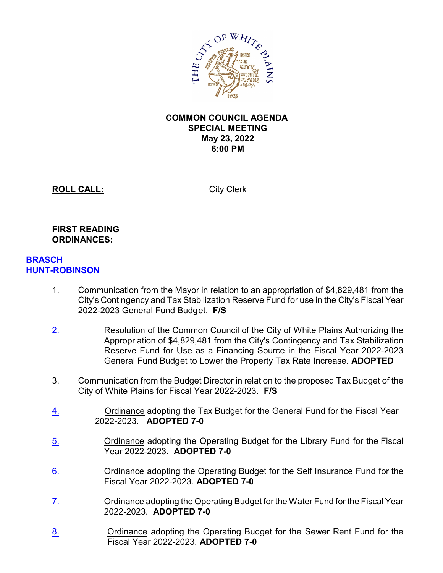

## **COMMON COUNCIL AGENDA SPECIAL MEETING May 23, 2022 6:00 PM**

**ROLL CALL:** City Clerk

## **FIRST READING ORDINANCES:**

## **BRASCH HUNT-ROBINSON**

- 1. Communication from the Mayor in relation to an appropriation of \$4,829,481 from the City's Contingency and Tax Stabilization Reserve Fund for use in the City's Fiscal Year 2022-2023 General Fund Budget. **F/S**
- [2.](file://///cowp/wp/Dept/City%20Clerk/AGENDA/2022%20-%20May%20Agenda/May%2023/Items/Certifieds/2.pdf) Resolution of the Common Council of the City of White Plains Authorizing the Appropriation of \$4,829,481 from the City's Contingency and Tax Stabilization Reserve Fund for Use as a Financing Source in the Fiscal Year 2022-2023 General Fund Budget to Lower the Property Tax Rate Increase. **ADOPTED**
- 3. Communication from the Budget Director in relation to the proposed Tax Budget of the City of White Plains for Fiscal Year 2022-2023. **F/S**
- [4.](file://///cowp/wp/Dept/City%20Clerk/AGENDA/2022%20-%20May%20Agenda/May%2023/Items/Certifieds/4.pdf) Ordinance adopting the Tax Budget for the General Fund for the Fiscal Year 2022-2023. **ADOPTED 7-0**
- [5.](file://///cowp/wp/Dept/City%20Clerk/AGENDA/2022%20-%20May%20Agenda/May%2023/Items/Certifieds/5.pdf) Ordinance adopting the Operating Budget for the Library Fund for the Fiscal Year 2022-2023. **ADOPTED 7-0**
- [6.](file://///cowp/wp/Dept/City%20Clerk/AGENDA/2022%20-%20May%20Agenda/May%2023/Items/Certifieds/6.pdf) Ordinance adopting the Operating Budget for the Self Insurance Fund for the Fiscal Year 2022-2023. **ADOPTED 7-0**
- [7.](file://///cowp/wp/Dept/City%20Clerk/AGENDA/2022%20-%20May%20Agenda/May%2023/Items/Certifieds/7.pdf) Ordinance adopting the Operating Budget for the Water Fund for the Fiscal Year 2022-2023. **ADOPTED 7-0**
- [8.](file://///cowp/wp/Dept/City%20Clerk/AGENDA/2022%20-%20May%20Agenda/May%2023/Items/Certifieds/8.pdf) Ordinance adopting the Operating Budget for the Sewer Rent Fund for the Fiscal Year 2022-2023. **ADOPTED 7-0**